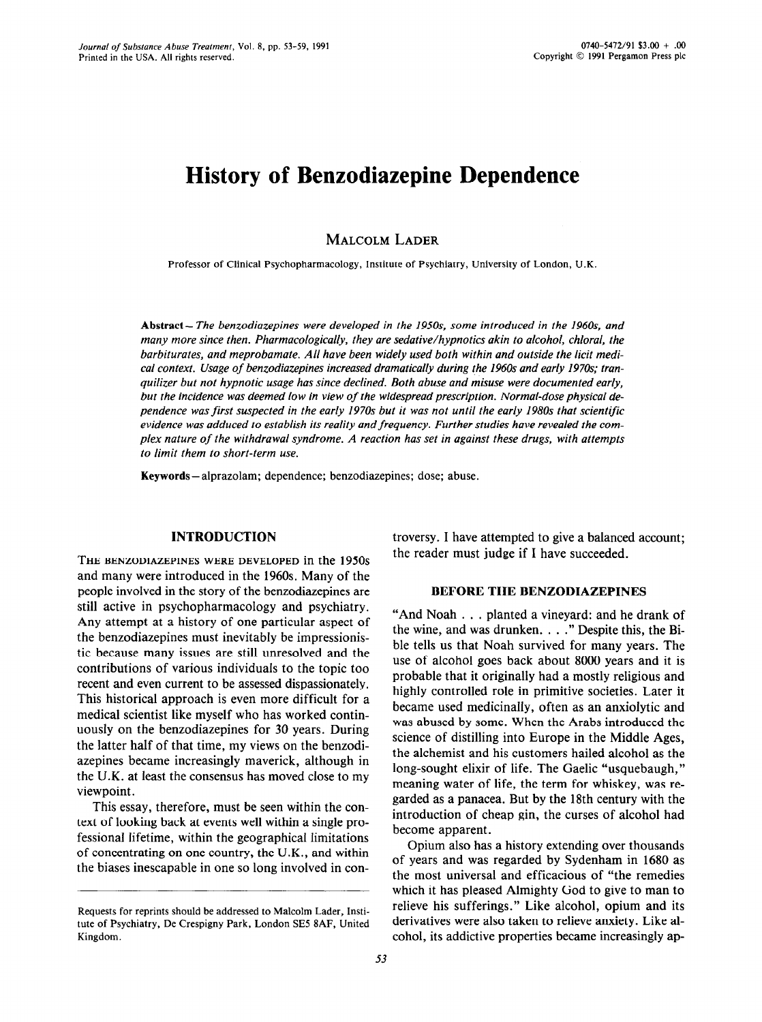# **History of Benzodiazepine Dependence**

## **MALCOLM LADER**

**Professor** of Clinical Psychopharmacology, Institute of Psychiatry, University of London, U.K.

**Abstract-** *The benzodiazepines were developed in the 195Os, some introduced in the 196Os, and many more since then. Pharmacologically, they are sedative/hypnotics akin to alcohol, chloral, the barbiturates, and meprobamate. AN have been widely used both within and outside the licit medical context. Usage of benzodiazepines increased dramatically during the 1960s and early 1970s; tranquilizer but not hypnotic usage has since declined. Both abuse and misuse were documented early, but the incidence was deemed low in view of the widespread prescription. Normal-dose physical dependence was first suspected in the early 1970s but it was not until the early 1980s that scientific evidence was adduced to establish its reality and frequency. Further studies have revealed the complex nature of the withdrawal syndrome. A reaction has set in against these drugs, with attempts to limit them to short-term use.* 

**Keywords-** alprazolam; dependence; benzodiazepines; dose; abuse.

## **INTRODUCTION**

THE BENZODIAZEPINES WERE DEVELOPED in the 1950s and many were introduced in the 1960s. Many of the people involved in the story of the benzodiazepines are still active in psychopharmacology and psychiatry. Any attempt at a history of one particular aspect of the benzodiazepines must inevitably be impressionistic because many issues are still unresolved and the contributions of various individuals to the topic too recent and even current to be assessed dispassionately. This historical approach is even more difficult for a medical scientist like myself who has worked continuously on the benzodiazepines for 30 years. During the latter half of that time, my views on the benzodiazepines became increasingly maverick, although in the U.K. at least the consensus has moved close to my viewpoint.

This essay, therefore, must be seen within the context of looking back at events well within a single professional lifetime, within the geographical limitations of concentrating on one country, the U.K., and within the biases inescapable in one so long involved in controversy. I have attempted to give a balanced account; the reader must judge if I have succeeded.

#### **BEFORE THE BENZODIAZEPINES**

"And Noah . . . planted a vineyard: and he drank of the wine, and was drunken. . . ." Despite this, the Bible tells us that Noah survived for many years. The use of alcohol goes back about 8000 years and it is probable that it originally had a mostly religious and highly controlled role in primitive societies. Later it became used medicinally, often as an anxiolytic and was abused by some. When the Arabs introduced the science of distilling into Europe in the Middle Ages, the alchemist and his customers hailed alcohol as the long-sought elixir of life. The Gaelic "usquebaugh," meaning water of life, the term for whiskey, was regarded as a panacea. But by the 18th century with the introduction of cheap gin, the curses of alcohol had become apparent.

Opium also has a history extending over thousands of years and was regarded by Sydenham in 1680 as the most universal and efficacious of "the remedies which it has pleased Almighty God to give to man to relieve his sufferings." Like alcohol, opium and its derivatives were also taken to relieve anxiety. Like alcohol, its addictive properties became increasingly ap-

Requests for reprints should be addressed to Malcolm Lader, Institute of Psychiatry, De Crespigny Park, London SE5 SAF, United Kingdom.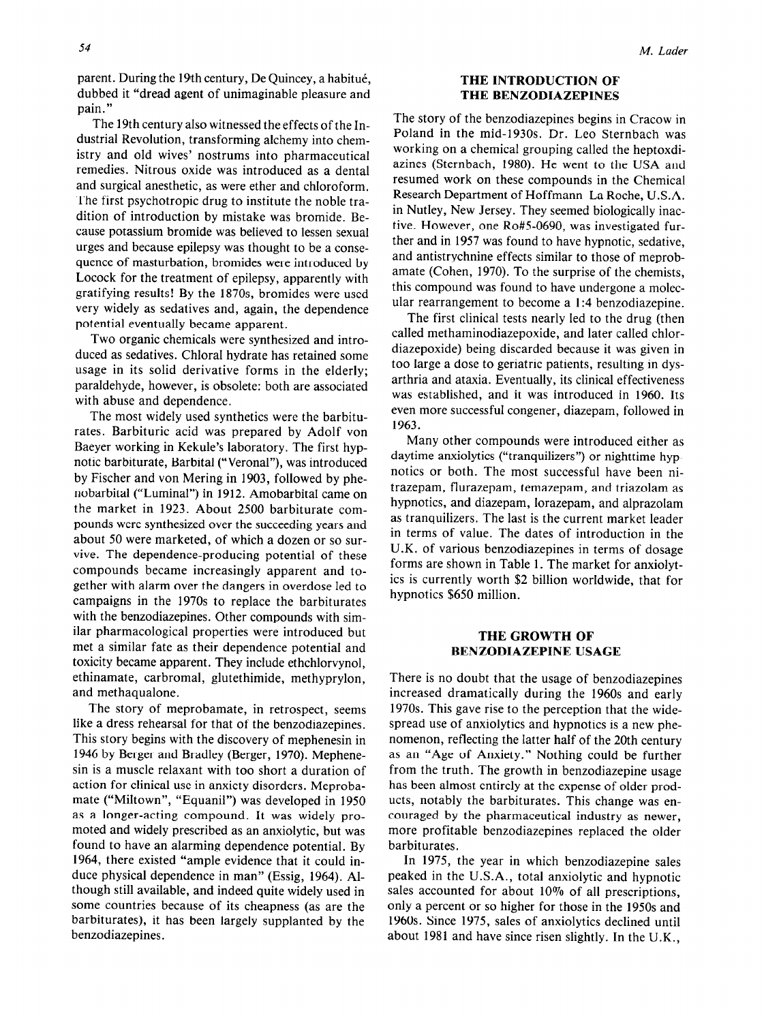parent. During the 191th century, De Quincey, a habitue, dubbed it "dread agent of unimaginable pleasure and pain."

The 19th century also witnessed the effects of the Industrial Revolution, transforming alchemy into chemistry and old wives' nostrums into pharmaceutical remedies. Nitrous oxide was introduced as a dental and surgical anesthetic, as were ether and chloroform. The first psychotropic drug to institute the noble tradition of introduction by mistake was bromide. Because potassium bromide was believed to lessen sexual urges and because epilepsy was thought to be a consequence of masturbation, bromides were introduced by Locock for the treatment of epilepsy, apparently with gratifying results! By the 187Os, bromides were used very widely as sedatives and, again, the dependence potential eventually became apparent.

Two organic chemicals were synthesized and introduced as sedatives. Chloral hydrate has retained some usage in its solid derivative forms in the elderly; paraldehyde, however, is obsolete: both are associated with abuse and dependence.

The most widely used synthetics were the barbiturates. Barbituric acid was prepared by Adolf von Baeyer working in Kekule's laboratory. The first hypnotic barbiturate, Barbital ("Veronal"), was introduced by Fischer and von Mering in 1903, followed by phenobarbital ("Luminal") in 1912. Amobarbital came on the market in 1923. About 2500 barbiturate compounds were synthesized over the succeeding years and about 50 were marketed, of which a dozen or so survive. The dependence-producing potential of these compounds became increasingly apparent and together with alarm over the dangers in overdose led to campaigns in the 1970s to replace the barbiturates with the benzodiazepines. Other compounds with similar pharmacological properties were introduced but met a similar fate as their dependence potential and toxicity became apparent. They include ethchlorvynol, ethinamate, carbromal, glutethimide, methyprylon, and methaqualone.

The story of meprobamate, in retrospect, seems like a dress rehearsal for that of the benzodiazepines. This story begins with the discovery of mephenesin in 1946 by Berger and Bradley (Berger, 1970). Mephenesin is a muscle relaxant with too short a duration of action for clinical use in anxiety disorders. Meprobamate ("Miltown", "Equanil") was developed in 1950 as a longer-acting compound. It was widely promoted and widely prescribed as an anxiolytic, but was found to have an alarming dependence potential. By 1964, there existed "ample evidence that it could induce physical dependence in man" (Essig, 1964). Although still available, and indeed quite widely used in some countries because of its cheapness (as are the barbiturates), it has been largely supplanted by the benzodiazepines.

## **THE INTRODUCTION OF THE BENZODIAZEPINES**

The story of the benzodiazepines begins in Cracow in Poland in the mid-1930s. Dr. Leo Sternbach was working on a chemical grouping called the heptoxdiazines (Sternbach, 1980). He went to the USA and resumed work on these compounds in the Chemical Research Department of Hoffmann-La Roche, U.S.A. in Nutley, New Jersey. They seemed biologically inactive. However, one Ro#5-0690, was investigated further and in 1957 was found to have hypnotic, sedative, and antistrychnine effects similar to those of meprobamate (Cohen, 1970). To the surprise of the chemists, this compound was found to have undergone a molecular rearrangement to become a 1:4 benzodiazepine.

The first clinical tests nearly led to the drug (then called methaminodiazepoxide, and later called chlordiazepoxide) being discarded because it was given in too large a dose to geriatric patients, resulting in dysarthria and ataxia. Eventually, its clinical effectiveness was established, and it was introduced in 1960. Its even more successful congener, diazepam, followed in 1963.

Many other compounds were introduced either as daytime anxiolytics ("tranquilizers") or nighttime hypnotics or both. The most successful have been nitrazepam, flurazepam, temazepam, and triazolam as hypnotics, and diazepam, lorazepam, and alprazolam as tranquilizers. The last is the current market leader in terms of value. The dates of introduction in the U.K. of various benzodiazepines in terms of dosage forms are shown in Table 1. The market for anxiolytics is currently worth \$2 billion worldwide, that for hypnotics \$650 million.

## **THE GROWTH OF BENZODIAZEPINE USAGE**

There is no doubt that the usage of benzodiazepines increased dramatically during the 1960s and early 1970s. This gave rise to the perception that the widespread use of anxiolytics and hypnotics is a new phenomenon, reflecting the latter half of the 20th century as an "Age of Anxiety." Nothing could be further from the truth. The growth in benzodiazepine usage has been almost entirely at the expense of older products, notably the barbiturates. This change was encouraged by the pharmaceutical industry as newer, more profitable benzodiazepines replaced the older barbiturates.

In 1975, the year in which benzodiazepine sales peaked in the U.S.A., total anxiolytic and hypnotic sales accounted for about 10% of all prescriptions, only a percent or so higher for those in the 1950s and 1960s. Since 1975, sales of anxiolytics declined until about 1981 and have since risen slightly. In the U.K.,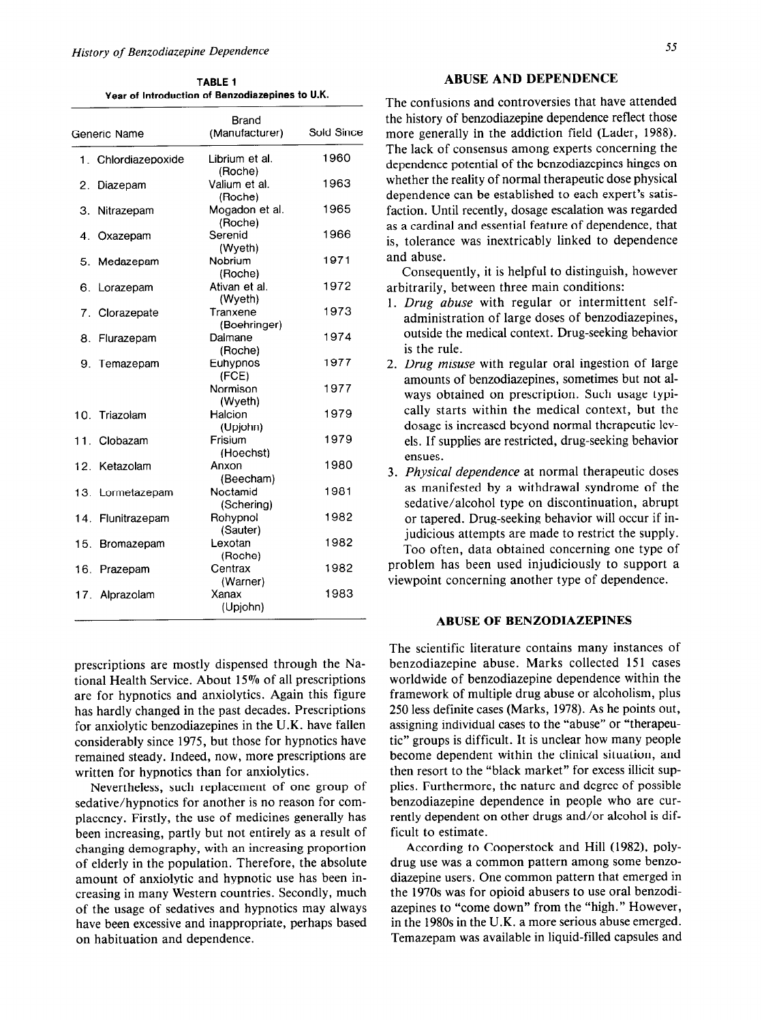**TABLE i Year of Introduction of Benzodiazepines to U.K.** 

| Generic Name         | Brand<br>(Manufacturer)   | Sold Since |
|----------------------|---------------------------|------------|
| 1. Chlordiazepoxide  | Librium et al.<br>(Roche) | 1960       |
| 2.<br>Diazepam       | Valium et al.<br>(Roche)  | 1963       |
| З.<br>Nitrazepam     | Mogadon et al.<br>(Roche) | 1965       |
| 4.<br>Oxazepam       | Serenid<br>(Wyeth)        | 1966       |
| 5.<br>Medazepam      | Nobrium<br>(Roche)        | 1971       |
| 6.<br>Lorazepam      | Ativan et al.<br>(Wyeth)  | 1972       |
| 7. Clorazepate       | Tranxene<br>(Boehringer)  | 1973       |
| 8.<br>Flurazepam     | Dalmane<br>(Roche)        | 1974       |
| Temazepam<br>9.      | Euhypnos<br>(FCE)         | 1977       |
|                      | Normison<br>(Wyeth)       | 1977       |
| Triazolam<br>10.     | Halcion<br>(Upjohn)       | 1979       |
| Clobazam<br>11.      | Frisium<br>(Hoechst)      | 1979       |
| Ketazolam<br>12.     | Anxon<br>(Beecham)        | 1980       |
| 13.<br>Lormetazepam  | Noctamid<br>(Schering)    | 1981       |
| Flunitrazepam<br>14. | Rohypnol<br>(Sauter)      | 1982       |
| 15.<br>Bromazepam    | Lexotan<br>(Roche)        | 1982       |
| 16.<br>Prazepam      | Centrax<br>(Warner)       | 1982       |
| 17. Alprazolam       | Xanax<br>(Upjohn)         | 1983       |

prescriptions are mostly dispensed through the National Health Service. About 15% of all prescriptions are for hypnotics and anxiolytics. Again this figure has hardly changed in the past decades. Prescriptions for anxiolytic benzodiazepines in the U.K. have fallen considerably since 1975, but those for hypnotics have remained steady. Indeed, now, more prescriptions are written for hypnotics than for anxiolytics.

Nevertheless, such replacement of one group of sedative/hypnotics for another is no reason for complacency. Firstly, the use of medicines generally has been increasing, partly but not entirely as a result of changing demography, with an increasing proportion of elderly in the population. Therefore, the absolute amount of anxiolytic and hypnotic use has been increasing in many Western countries. Secondly, much of the usage of sedatives and hypnotics may always have been excessive and inappropriate, perhaps based on habituation and dependence.

#### **ABUSE AND DEPENDENCE**

The confusions and controversies that have attended the history of benzodiazepine dependence reflect those more generally in the addiction field (Lader, 1988). The lack of consensus among experts concerning the dependence potential of the benzodiazepines hinges on whether the reality of normal therapeutic dose physical dependence can be established to each expert's satisfaction. Until recently, dosage escalation was regarded as a cardinal and essential feature of dependence, that is, tolerance was inextricably linked to dependence and abuse.

Consequently, it is helpful to distinguish, however arbitrarily, between three main conditions:

- *Drug abuse* with regular or intermittent selfadministration of large doses of benzodiazepines, outside the medical context. Drug-seeking behavior is the rule.
- *Drug misuse* with regular oral ingestion of large amounts of benzodiazepines, sometimes but not always obtained on prescription. Such usage typically starts within the medical context, but the dosage is increased beyond normal therapeutic levels. If supplies are restricted, drug-seeking behavior ensues.
- *Physical dependence* at normal therapeutic doses as manifested by a withdrawal syndrome of the sedative/alcohol type on discontinuation, abrupt or tapered. Drug-seeking behavior will occur if injudicious attempts are made to restrict the supply. Too often, data obtained concerning one type of

problem has been used injudiciously to support a viewpoint concerning another type of dependence.

## **ABUSE OF BENZODIAZEPINES**

The scientific literature contains many instances of benzodiazepine abuse. Marks collected 151 cases worldwide of benzodiazepine dependence within the framework of multiple drug abuse or alcoholism, plus 250 less definite cases (Marks, 1978). As he points out, assigning individual cases to the "abuse" or "therapeutic" groups is difficult. It is unclear how many people become dependent within the clinical situation, and then resort to the "black market" for excess illicit supplies. Furthermore, the nature and degree of possible benzodiazepine dependence in people who are currently dependent on other drugs and/or alcohol is difficult to estimate.

According to Cooperstock and Hill (1982), polydrug use was a common pattern among some benzodiazepine users. One common pattern that emerged in the 1970s was for opioid abusers to use oral benzodiazepines to "come down" from the "high." However, in the 1980s in the U.K. a more serious abuse emerged. Temazepam was available in liquid-filled capsules and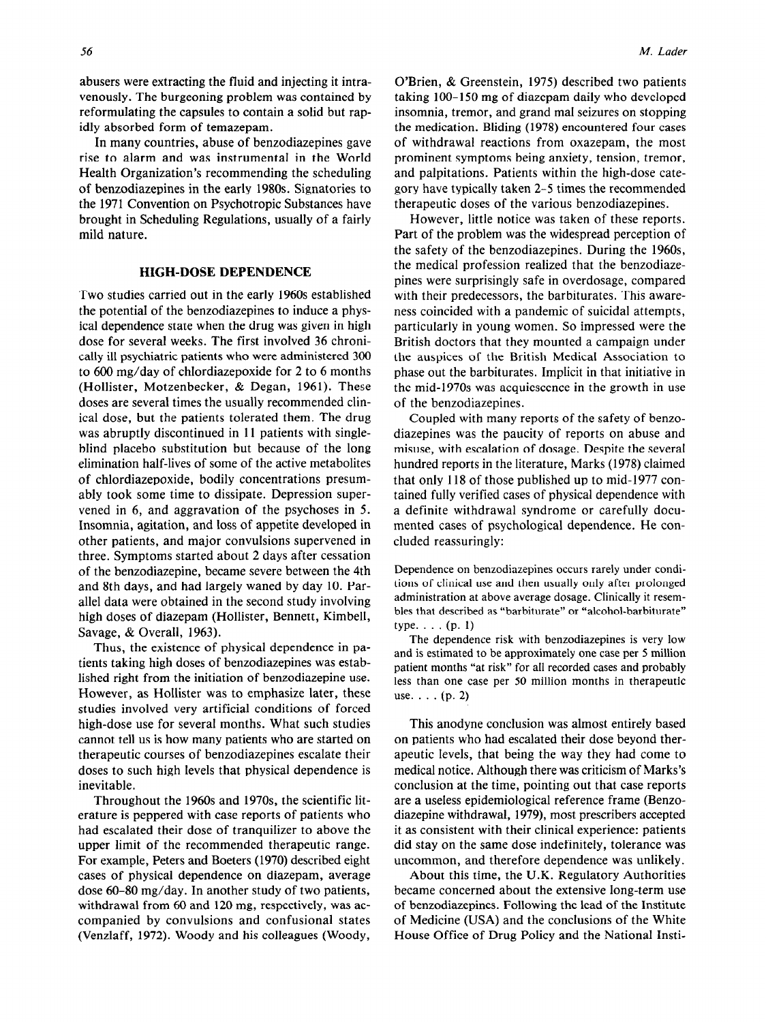abusers were extracting the fluid and injecting it intravenously. The burgeoning problem was contained by reformulating the capsules to contain a solid but rapidly absorbed form of temazepam.

In many countries, abuse of benzodiazepines gave rise to alarm and was instrumental in the World Health Organization's recommending the scheduling of benzodiazepines in the early 1980s. Signatories to the 1971 Convention on Psychotropic Substances have brought in Scheduling Regulations, usually of a fairly mild nature.

## **HIGH-DOSE DEPENDENCE**

Two studies carried out in the early 1960s established the potential of the benzodiazepines to induce a physical dependence state when the drug was given in high dose for several weeks. The first involved 36 chronically ill psychiatric patients who were administered 300 to 600 mg/day of chlordiazepoxide for 2 to 6 months (Hollister, Motzenbecker, & Degan, 1961). These doses are several times the usually recommended clinical dose, but the patients tolerated them. The drug was abruptly discontinued in 11 patients with singleblind placebo substitution but because of the long elimination half-lives of some of the active metabolites of chlordiazepoxide, bodily concentrations presumably took some time to dissipate. Depression supervened in 6, and aggravation of the psychoses in 5. Insomnia, agitation, and loss of appetite developed in other patients, and major convulsions supervened in three. Symptoms started about 2 days after cessation of the benzodiazepine, became severe between the 4th and 8th days, and had largely waned by day 10. Parallel data were obtained in the second study involving high doses of diazepam (Hollister, Bennett, Kimbell, Savage, & Overall, 1963).

Thus, the existence of physical dependence in patients taking high doses of benzodiazepines was established right from the initiation of benzodiazepine use. However, as Hollister was to emphasize later, these studies involved very artificial conditions of forced high-dose use for several months. What such studies cannot tell us is how many patients who are started on therapeutic courses of benzodiazepines escalate their doses to such high levels that physical dependence is inevitable.

Throughout the 1960s and 197Os, the scientific literature is peppered with case reports of patients who had escalated their dose of tranquilizer to above the upper limit of the recommended therapeutic range. For example, Peters and Boeters (1970) described eight cases of physical dependence on diazepam, average dose 60-80 mg/day. In another study of two patients, withdrawal from 60 and 120 mg, respectively, was accompanied by convulsions and confusional states (Venzlaff, 1972). Woody and his colleagues (Woody,

O'Brien, & Greenstein, 1975) described two patients taking 100-l 50 mg of diazepam daily who developed insomnia, tremor, and grand ma1 seizures on stopping the medication. Bliding (1978) encountered four cases of withdrawal reactions from oxazepam, the most prominent symptoms being anxiety, tension, tremor, and palpitations. Patients within the high-dose category have typically taken 2-5 times the recommended therapeutic doses of the various benzodiazepines.

However, little notice was taken of these reports. Part of the problem was the widespread perception of the safety of the benzodiazepines. During the 196Os, the medical profession realized that the benzodiazepines were surprisingly safe in overdosage, compared with their predecessors, the barbiturates. This awareness coincided with a pandemic of suicidal attempts, particularly in young women. So impressed were the British doctors that they mounted a campaign under the auspices of the British Medical Association to phase out the barbiturates. Implicit in that initiative in the mid-1970s was acquiescence in the growth in use of the benzodiazepines.

Coupled with many reports of the safety of benzodiazepines was the paucity of reports on abuse and misuse, with escalation of dosage. Despite the several hundred reports in the literature, Marks (1978) claimed that only 118 of those published up to mid-1977 contained fully verified cases of physical dependence with a definite withdrawal syndrome or carefully documented cases of psychological dependence. He concluded reassuringly:

Dependence on benzodiazepines occurs rarely under conditions of clinical use and then usually only after prolonged administration at above average dosage. Clinically it resembles that described as "barbiturate" or "alcohol-barbiturate" type. . . . (p. 1)

The dependence risk with benzodiazepines is very low and is estimated to be approximately one case per 5 million patient months "at risk" for all recorded cases and probably less than one case per 50 million months in therapeutic use.  $\ldots$  (p. 2)

This anodyne conclusion was almost entirely based on patients who had escalated their dose beyond therapeutic levels, that being the way they had come to medical notice. Although there was criticism of Marks's conclusion at the time, pointing out that case reports are a useless epidemiological reference frame (Benzodiazepine withdrawal, 1979), most prescribers accepted it as consistent with their clinical experience: patients did stay on the same dose indefinitely, tolerance was uncommon, and therefore dependence was unlikely.

About this time, the U.K. Regulatory Authorities became concerned about the extensive long-term use of benzodiazepines. Following the lead of the Institute of Medicine (USA) and the conclusions of the White House Office of Drug Policy and the National Insti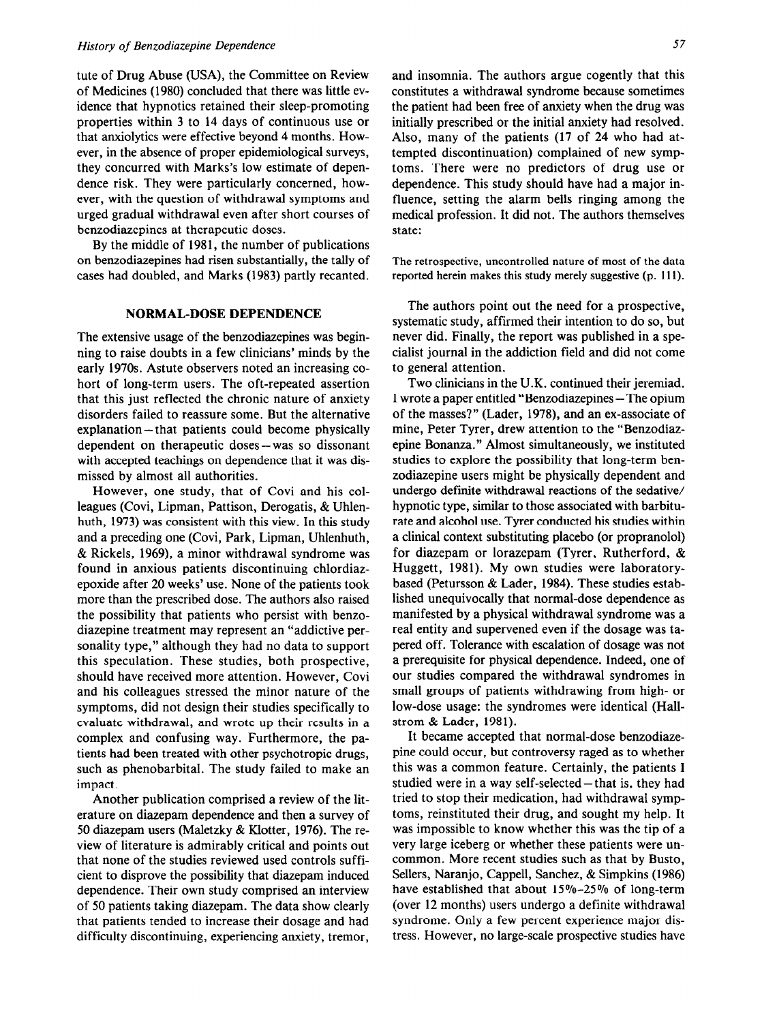tute of Drug Abuse (USA), the Committee on Review of Medicines (1980) concluded that there was little evidence that hypnotics retained their sleep-promoting properties within 3 to 14 days of continuous use or that anxiolytics were effective beyond 4 months. However, in the absence of proper epidemiological surveys, they concurred with Marks's low estimate of dependence risk. They were particularly concerned, however, with the question of withdrawal symptoms and urged gradual withdrawal even after short courses of benzodiazepines at therapeutic doses.

By the middle of 1981, the number of publications on benzodiazepines had risen substantially, the tally of cases had doubled, and Marks (1983) partly recanted.

## **NORMAL-DOSE DEPENDENCE**

The extensive usage of the benzodiazepines was beginning to raise doubts in a few clinicians' minds by the early 1970s. Astute observers noted an increasing cohort of long-term users. The oft-repeated assertion that this just reflected the chronic nature of anxiety disorders failed to reassure some. But the alternative explanation-that patients could become physically dependent on therapeutic doses-was so dissonant with accepted teachings on dependence that it was dismissed by almost all authorities.

However, one study, that of Covi and his colleagues (Covi, Lipman, Pattison, Derogatis, & Uhlenhuth, 1973) was consistent with this view. In this study and a preceding one (Covi, Park, Lipman, Uhlenhuth, & Rickels, 1969), a minor withdrawal syndrome was found in anxious patients discontinuing chlordiazepoxide after 20 weeks' use. None of the patients took more than the prescribed dose. The authors also raised the possibility that patients who persist with benzodiazepine treatment may represent an "addictive personality type," although they had no data to support this speculation. These studies, both prospective, should have received more attention. However, Covi and his colleagues stressed the minor nature of the symptoms, did not design their studies specifically to evaluate withdrawal, and wrote up their results in a complex and confusing way. Furthermore, the patients had been treated with other psychotropic drugs, such as phenobarbital. The study failed to make an impact.

Another publication comprised a review of the literature on diazepam dependence and then a survey of 50 diazepam users (Maletzky & Klotter, 1976). The review of literature is admirably critical and points out that none of the studies reviewed used controls sufficient to disprove the possibility that diazepam induced dependence. Their own study comprised an interview of 50 patients taking diazepam. The data show clearly that patients tended to increase their dosage and had difficulty discontinuing, experiencing anxiety, tremor,

and insomnia. The authors argue cogently that this constitutes a withdrawal syndrome because sometimes the patient had been free of anxiety when the drug was initially prescribed or the initial anxiety had resolved. Also, many of the patients (17 of 24 who had attempted discontinuation) complained of new symptoms. There were no predictors of drug use or dependence. This study should have had a major influence, setting the alarm bells ringing among the medical profession. It did not. The authors themselves state:

The retrospective, uncontrolled nature of most of the data reported herein makes this study merely suggestive (p. **111).** 

The authors point out the need for a prospective, systematic study, affirmed their intention to do so, but never did. Finally, the report was published in a specialist journal in the addiction field and did not come to general attention.

Two clinicians in the U.K. continued their jeremiad. I wrote a paper entitled "Benzodiazepines – The opium of the masses?" (Lader, 1978), and an ex-associate of mine, Peter Tyrer, drew attention to the "Benzodiazepine Bonanza." Almost simultaneously, we instituted studies to explore the possibility that long-term benzodiazepine users might be physically dependent and undergo definite withdrawal reactions of the sedative/ hypnotic type, similar to those associated with barbiturate and alcohol use. Tyrer conducted his studies within a clinical context substituting placebo (or propranolol) for diazepam or lorazepam (Tyrer, Rutherford, & Huggett, 1981). My own studies were laboratorybased (Petursson & Lader, 1984). These studies established unequivocally that normal-dose dependence as manifested by a physical withdrawal syndrome was a real entity and supervened even if the dosage was tapered off. Tolerance with escalation of dosage was not a prerequisite for physical dependence. Indeed, one of our studies compared the withdrawal syndromes in small groups of patients withdrawing from high- or low-dose usage: the syndromes were identical (Hall-Strom & Lader, 1981).

It became accepted that normal-dose benzodiazepine could occur, but controversy raged as to whether this was a common feature. Certainly, the patients I studied were in a way self-selected- that is, they had tried to stop their medication, had withdrawal symptoms, reinstituted their drug, and sought my help. It was impossible to know whether this was the tip of a very large iceberg or whether these patients were uncommon. More recent studies such as that by Busto, Sellers, Naranjo, Cappell, Sanchez, & Simpkins (1986) have established that about 15%-25% of long-term (over 12 months) users undergo a definite withdrawal syndrome. Only a few percent experience major distress. However, no large-scale prospective studies have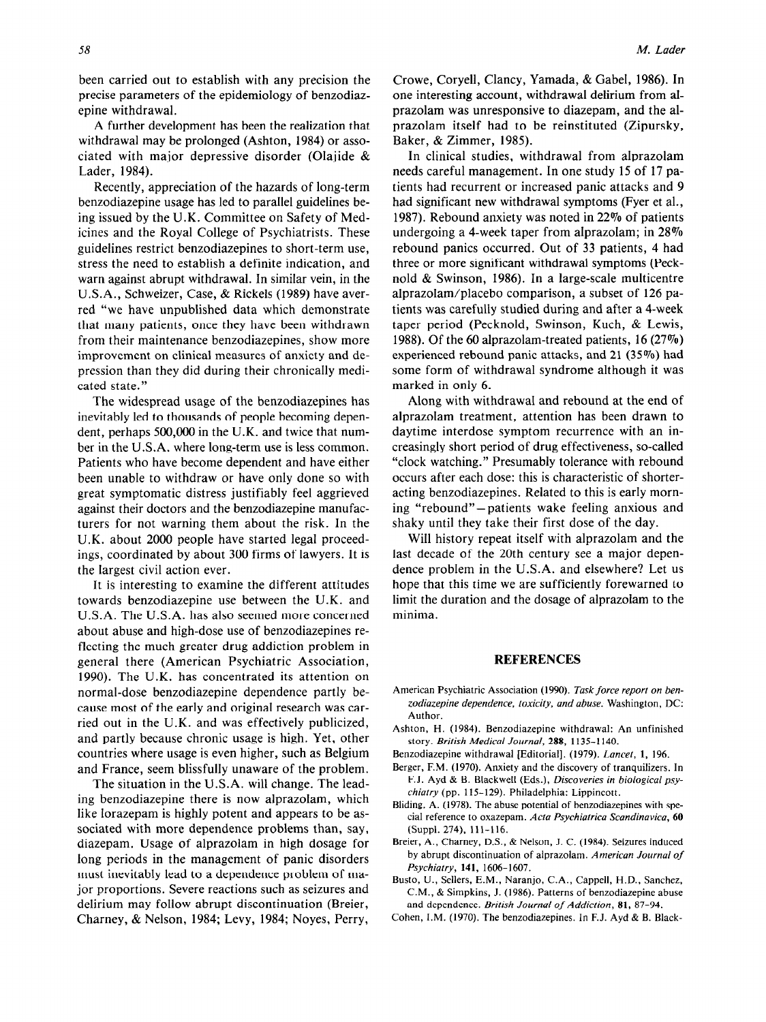been carried out to establish with any precision the precise parameters of the epidemiology of benzodiazepine withdrawal.

A further development has been the realization that withdrawal may be prolonged (Ashton, 1984) or associated with major depressive disorder (Olajide  $\&$ Lader, 1984).

Recently, appreciation of the hazards of long-term benzodiazepine usage has led to parallel guidelines being issued by the U.K. Committee on Safety of Medicines and the Royal College of Psychiatrists. These guidelines restrict benzodiazepines to short-term use, stress the need to establish a definite indication, and warn against abrupt withdrawal. In similar vein, in the U.S.A., Schweizer, Case, & Rickels (1989) have averred "we have unpublished data which demonstrate that many patients, once they have been withdrawn from their maintenance benzodiazepines, show more improvement on clinical measures of anxiety and depression than they did during their chronically medicated state."

The widespread usage of the benzodiazepines has inevitably led to thousands of people becoming dependent, perhaps 500,000 in the U.K. and twice that number in the U.S.A. where long-term use is less common. Patients who have become dependent and have either been unable to withdraw or have only done so with great symptomatic distress justifiably feel aggrieved against their doctors and the benzodiazepine manufacturers for not warning them about the risk. In the U.K. about 2000 people have started legal proceedings, coordinated by about 300 firms of lawyers. It is the largest civil action ever.

It is interesting to examine the different attitudes towards benzodiazepine use between the U.K. and U.S.A. The U.S.A. has also seemed more concerned about abuse and high-dose use of benzodiazepines reflecting the much greater drug addiction problem in general there (American Psychiatric Association, 1990). The U.K. has concentrated its attention on normal-dose benzodiazepine dependence partly because most of the early and original research was carried out in the U.K. and was effectively publicized, and partly because chronic usage is high. Yet, other countries where usage is even higher, such as Belgium and France, seem blissfully unaware of the problem.

The situation in the U.S.A. will change. The leading benzodiazepine there is now alprazolam, which like lorazepam is highly potent and appears to be associated with more dependence problems than, say, diazepam. Usage of alprazolam in high dosage for long periods in the management of panic disorders must inevitably lead to a dependence problem of major proportions. Severe reactions such as seizures and delirium may follow abrupt discontinuation (Breier, Charney, & Nelson, 1984; Levy, 1984; Noyes, Perry,

Crowe, Coryell, Clancy, Yamada, & Gabel, 1986). In one interesting account, withdrawal delirium from alprazolam was unresponsive to diazepam, and the alprazolam itself had to be reinstituted (Zipursky, Baker, & Zimmer, 1985).

In clinical studies, withdrawal from alprazolam needs careful management. In one study 15 of 17 patients had recurrent or increased panic attacks and 9 had significant new withdrawal symptoms (Fyer et al., 1987). Rebound anxiety was noted in 22% of patients undergoing a 4-week taper from alprazolam; in 28% rebound panics occurred. Out of 33 patients, 4 had three or more significant withdrawal symptoms (Pecknold & Swinson, 1986). In a large-scale multicentre alprazolam/placebo comparison, a subset of 126 patients was carefully studied during and after a 4-week taper period (Pecknold, Swinson, Kuch, & Lewis, 1988). Of the 60 alprazolam-treated patients,  $16 (27%)$ experienced rebound panic attacks, and 21 (3570) had some form of withdrawal syndrome although it was marked in only 6.

Along with withdrawal and rebound at the end of alprazolam treatment, attention has been drawn to daytime interdose symptom recurrence with an increasingly short period of drug effectiveness, so-called "clock watching." Presumably tolerance with rebound occurs after each dose: this is characteristic of shorteracting benzodiazepines. Related to this is early morning "rebound"-patients wake feeling anxious and shaky until they take their first dose of the day.

Will history repeat itself with alprazolam and the last decade of the 20th century see a major dependence problem in the U.S.A. and elsewhere? Let us hope that this time we are sufficiently forewarned to limit the duration and the dosage of alprazolam to the minima.

### **REFERENCES**

- American Psychiatric Association (1990). *Tusk force report on benzodiazepine dependence, toxicity, and abuse.* Washington, DC: Author.
- Ashton, H. (1984). Benzodiazepine withdrawal: An unfinished story. *British Medical Journa/,* 288, 1135-I 140.
- Benzodiazepine withdrawal [Editorial]. (1979). Lancet, 1, 196.
- Berger, F.M. (1970). Anxiety and the discovery of tranquilizers. In F.J. Ayd & B. Blackwell (Eds.), *Discoveries in biological psychiatry* (pp. 115-129). Philadelphia: Lippincott.
- Bliding, A. (1978). The abuse potential of benzodiazepines with special reference to oxazepam. Acta Psychiatrica Scandinavica, 60 (Suppl. 274), 111-116.
- Breier, A., Charney, D.S., & Nelson, J. C. (1984). Seizures induced by abrupt discontinuation of alprazolam. *American Journal of Psychiatry, 141, 1606-1607.*
- Busto, U., Sellers, E.M., Naranjo, C.A., Cappell, H.D., Sanchez, C.M., & Simpkins, J. (1986). Patterns of benzodiazepine abuse and dependence. *British Journal of Addiction, 81, 87-94.*
- Cohen, I.M. (1970). The benzodiazepines. In F.J. Ayd & B. Black-